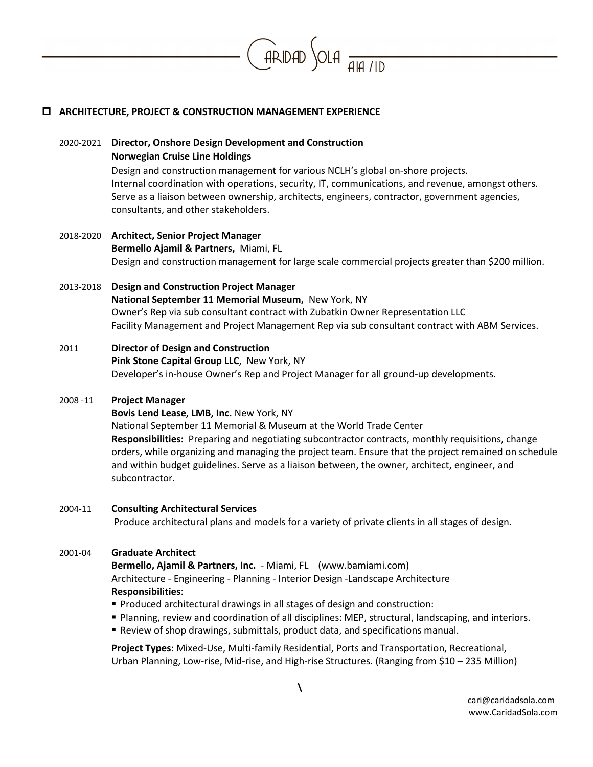

# **ARCHITECTURE, PROJECT & CONSTRUCTION MANAGEMENT EXPERIENCE**

# 2020-2021 **Director, Onshore Design Development and Construction Norwegian Cruise Line Holdings**

Design and construction management for various NCLH's global on-shore projects. Internal coordination with operations, security, IT, communications, and revenue, amongst others. Serve as a liaison between ownership, architects, engineers, contractor, government agencies, consultants, and other stakeholders.

# 2018-2020 **Architect, Senior Project Manager Bermello Ajamil & Partners,** Miami, FL Design and construction management for large scale commercial projects greater than \$200 million.

# 2013-2018 **Design and Construction Project Manager National September 11 Memorial Museum,** New York, NY Owner's Rep via sub consultant contract with Zubatkin Owner Representation LLC Facility Management and Project Management Rep via sub consultant contract with ABM Services.

#### 2011 **Director of Design and Construction**

**Pink Stone Capital Group LLC**, New York, NY Developer's in-house Owner's Rep and Project Manager for all ground-up developments.

#### 2008 -11 **Project Manager**

**Bovis Lend Lease, LMB, Inc. New York, NY** National September 11 Memorial & Museum at the World Trade Center **Responsibilities:** Preparing and negotiating subcontractor contracts, monthly requisitions, change orders, while organizing and managing the project team. Ensure that the project remained on schedule and within budget guidelines. Serve as a liaison between, the owner, architect, engineer, and subcontractor.

#### 2004-11 **Consulting Architectural Services**

Produce architectural plans and models for a variety of private clients in all stages of design.

## 2001-04 **Graduate Architect**

**Bermello, Ajamil & Partners, Inc.** - Miami, FL [\(www.bamiami.com\)](http://www.bamiami.com/) Architecture - Engineering - Planning - Interior Design -Landscape Architecture **Responsibilities**:

- Produced architectural drawings in all stages of design and construction:
- Planning, review and coordination of all disciplines: MEP, structural, landscaping, and interiors.
- Review of shop drawings, submittals, product data, and specifications manual.

**Project Types**: Mixed-Use, Multi-family Residential, Ports and Transportation, Recreational, Urban Planning, Low-rise, Mid-rise, and High-rise Structures. (Ranging from \$10 – 235 Million)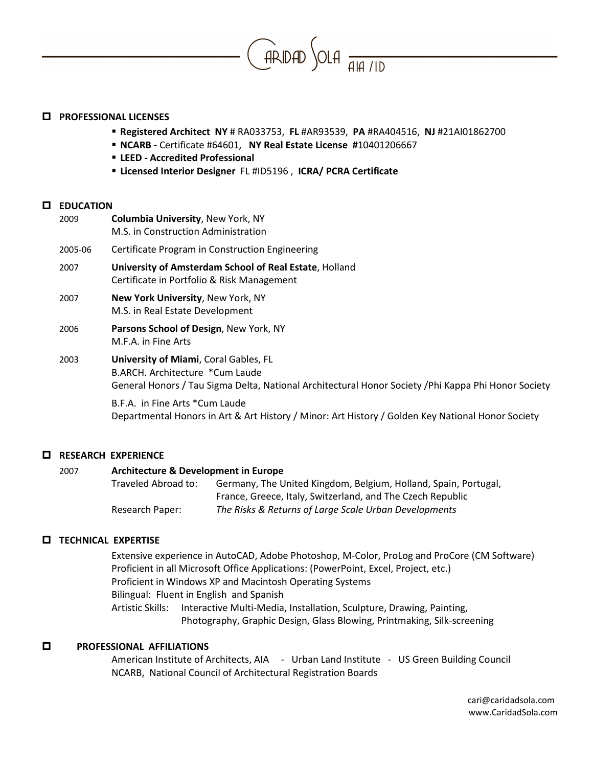

#### **PROFESSIONAL LICENSES**

- **Registered Architect NY** # RA033753, **FL** #AR93539, **PA** #RA404516, **NJ** #21AI01862700
- **NCARB -** Certificate #64601, **NY Real Estate License #**10401206667
- **LEED - Accredited Professional**
- **Licensed Interior Designer** FL #ID5196 , **ICRA/ PCRA Certificate**

#### **EDUCATION**

| 2009    | <b>Columbia University, New York, NY</b><br>M.S. in Construction Administration                                                                                                         |
|---------|-----------------------------------------------------------------------------------------------------------------------------------------------------------------------------------------|
| 2005-06 | Certificate Program in Construction Engineering                                                                                                                                         |
| 2007    | University of Amsterdam School of Real Estate, Holland<br>Certificate in Portfolio & Risk Management                                                                                    |
| 2007    | <b>New York University, New York, NY</b><br>M.S. in Real Estate Development                                                                                                             |
| 2006    | <b>Parsons School of Design, New York, NY</b><br>M.F.A. in Fine Arts                                                                                                                    |
| 2003    | <b>University of Miami, Coral Gables, FL</b><br>B.ARCH. Architecture *Cum Laude<br>General Honors / Tau Sigma Delta, National Architectural Honor Society / Phi Kappa Phi Honor Society |
|         | B.F.A. in Fine Arts *Cum Laude                                                                                                                                                          |

Departmental Honors in Art & Art History / Minor: Art History / Golden Key National Honor Society

## **RESEARCH EXPERIENCE**

## 2007 **Architecture & Development in Europe**

Traveled Abroad to: Germany, The United Kingdom, Belgium, Holland, Spain, Portugal, France, Greece, Italy, Switzerland, and The Czech Republic Research Paper: *The Risks & Returns of Large Scale Urban Developments*

## **TECHNICAL EXPERTISE**

Extensive experience in AutoCAD, Adobe Photoshop, M-Color, ProLog and ProCore (CM Software) Proficient in all Microsoft Office Applications: (PowerPoint, Excel, Project, etc.) Proficient in Windows XP and Macintosh Operating Systems Bilingual: Fluent in English and Spanish Artistic Skills: Interactive Multi-Media, Installation, Sculpture, Drawing, Painting, Photography, Graphic Design, Glass Blowing, Printmaking, Silk-screening

## **PROFESSIONAL AFFILIATIONS**

American Institute of Architects, AIA - Urban Land Institute - US Green Building Council NCARB, National Council of Architectural Registration Boards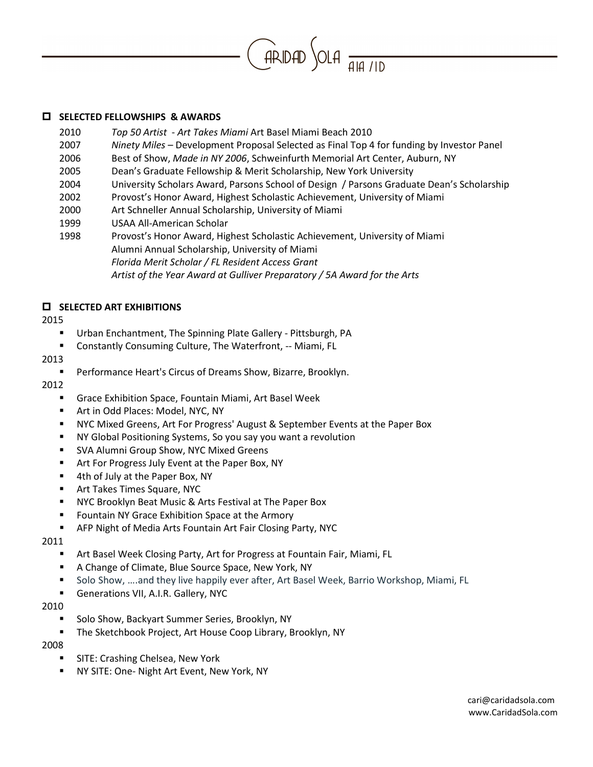

## **SELECTED FELLOWSHIPS & AWARDS**

- 2010 *Top 50 Artist Art Takes Miami* Art Basel Miami Beach 2010
- 2007 *Ninety Miles* Development Proposal Selected as Final Top 4 for funding by Investor Panel
- 2006 Best of Show, *Made in NY 2006*, Schweinfurth Memorial Art Center, Auburn, NY
- 2005 Dean's Graduate Fellowship & Merit Scholarship, New York University
- 2004 University Scholars Award, Parsons School of Design / Parsons Graduate Dean's Scholarship
- 2002 Provost's Honor Award, Highest Scholastic Achievement, University of Miami
- 2000 Art Schneller Annual Scholarship, University of Miami
- 1999 USAA All-American Scholar
- 1998 Provost's Honor Award, Highest Scholastic Achievement, University of Miami Alumni Annual Scholarship, University of Miami *Florida Merit Scholar / FL Resident Access Grant Artist of the Year Award at Gulliver Preparatory / 5A Award for the Arts*

# **ELECTED ART EXHIBITIONS**

## 2015

- Urban Enchantment, The Spinning Plate Gallery Pittsburgh, PA
- Constantly Consuming Culture, The Waterfront, -- Miami, FL

# 2013

**Performance Heart's Circus of Dreams Show, Bizarre, Brooklyn.** 

## 2012

- Grace Exhibition Space, Fountain Miami, Art Basel Week
- **Art in Odd Places: Model, NYC, NY**
- NYC Mixed Greens, Art For Progress' August & September Events at the Paper Box
- NY Global Positioning Systems, So you say you want a revolution
- **SVA Alumni Group Show, NYC Mixed Greens**
- Art For Progress July Event at the Paper Box, NY
- 4th of July at the Paper Box, NY
- **F** Art Takes Times Square, NYC
- NYC Brooklyn Beat Music & Arts Festival at The Paper Box
- **F** Fountain NY Grace Exhibition Space at the Armory
- AFP Night of Media Arts Fountain Art Fair Closing Party, NYC

## 2011

- Art Basel Week Closing Party, Art for Progress at Fountain Fair, Miami, FL
- A Change of Climate, Blue Source Space, New York, NY
- **Solo Show, ....and they live happily ever after, Art Basel Week, Barrio Workshop, Miami, FL**
- Generations VII, A.I.R. Gallery, NYC

## 2010

- Solo Show, Backyart Summer Series, Brooklyn, NY
- The Sketchbook Project, Art House Coop Library, Brooklyn, NY

2008

- **SITE: Crashing Chelsea, New York**
- NY SITE: One- Night Art Event, New York, NY